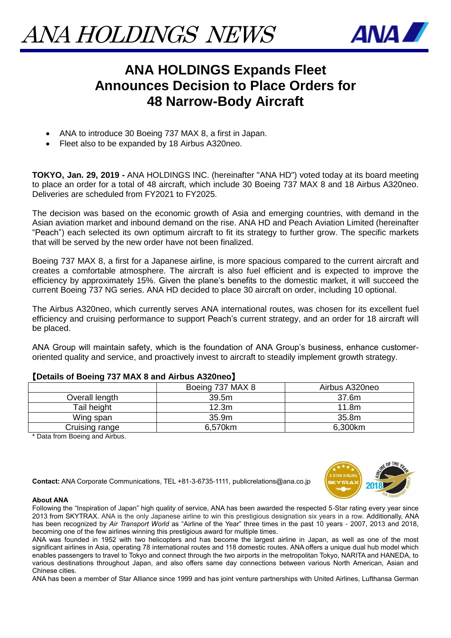

## **ANA HOLDINGS Expands Fleet Announces Decision to Place Orders for 48 Narrow-Body Aircraft**

- ANA to introduce 30 Boeing 737 MAX 8, a first in Japan.
- Fleet also to be expanded by 18 Airbus A320neo.

**TOKYO, Jan. 29, 2019 -** ANA HOLDINGS INC. (hereinafter "ANA HD") voted today at its board meeting to place an order for a total of 48 aircraft, which include 30 Boeing 737 MAX 8 and 18 Airbus A320neo. Deliveries are scheduled from FY2021 to FY2025.

The decision was based on the economic growth of Asia and emerging countries, with demand in the Asian aviation market and inbound demand on the rise. ANA HD and Peach Aviation Limited (hereinafter "Peach") each selected its own optimum aircraft to fit its strategy to further grow. The specific markets that will be served by the new order have not been finalized.

Boeing 737 MAX 8, a first for a Japanese airline, is more spacious compared to the current aircraft and creates a comfortable atmosphere. The aircraft is also fuel efficient and is expected to improve the efficiency by approximately 15%. Given the plane's benefits to the domestic market, it will succeed the current Boeing 737 NG series. ANA HD decided to place 30 aircraft on order, including 10 optional.

The Airbus A320neo, which currently serves ANA international routes, was chosen for its excellent fuel efficiency and cruising performance to support Peach's current strategy, and an order for 18 aircraft will be placed.

ANA Group will maintain safety, which is the foundation of ANA Group's business, enhance customeroriented quality and service, and proactively invest to aircraft to steadily implement growth strategy.

| --             |                  |                   |
|----------------|------------------|-------------------|
|                | Boeing 737 MAX 8 | Airbus A320neo    |
| Overall length | 39.5m            | 37.6m             |
| Tail height    | 12.3m            | 11.8 <sub>m</sub> |
| Wing span      | 35.9m            | 35.8m             |
| Cruising range | 6,570km          | 6,300km           |
|                |                  |                   |

## 【**Details of Boeing 737 MAX 8 and Airbus A320neo**】

\* Data from Boeing and Airbus.





## **About ANA**

Following the "Inspiration of Japan" high quality of service, ANA has been awarded the respected 5-Star rating every year since 2013 from SKYTRAX. ANA is the only Japanese airline to win this prestigious designation six years in a row. Additionally, ANA has been recognized by *Air Transport World* as "Airline of the Year" three times in the past 10 years - 2007, 2013 and 2018, becoming one of the few airlines winning this prestigious award for multiple times.

ANA was founded in 1952 with two helicopters and has become the largest airline in Japan, as well as one of the most significant airlines in Asia, operating 78 international routes and 118 domestic routes. ANA offers a unique dual hub model which enables passengers to travel to Tokyo and connect through the two airports in the metropolitan Tokyo, NARITA and HANEDA, to various destinations throughout Japan, and also offers same day connections between various North American, Asian and Chinese cities.

ANA has been a member of Star Alliance since 1999 and has joint venture partnerships with United Airlines, Lufthansa German